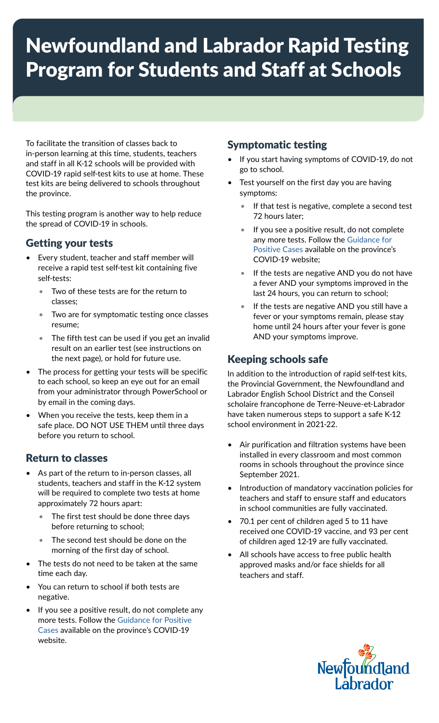# Newfoundland and Labrador Rapid Testing Program for Students and Staff at Schools

To facilitate the transition of classes back to in-person learning at this time, students, teachers and staff in all K-12 schools will be provided with COVID-19 rapid self-test kits to use at home. These test kits are being delivered to schools throughout the province.

This testing program is another way to help reduce the spread of COVID-19 in schools.

### Getting your tests

- Every student, teacher and staff member will receive a rapid test self-test kit containing five self-tests:
	- Two of these tests are for the return to classes;
	- Two are for symptomatic testing once classes resume;
	- The fifth test can be used if you get an invalid result on an earlier test (see instructions on the next page), or hold for future use.
- The process for getting your tests will be specific to each school, so keep an eye out for an email from your administrator through PowerSchool or by email in the coming days.
- When you receive the tests, keep them in a safe place. DO NOT USE THEM until three days before you return to school.

# Return to classes

- As part of the return to in-person classes, all students, teachers and staff in the K-12 system will be required to complete two tests at home approximately 72 hours apart:
	- The first test should be done three days before returning to school;
	- The second test should be done on the morning of the first day of school.
- The tests do not need to be taken at the same time each day.
- You can return to school if both tests are negative.
- If you see a positive result, do not complete any more tests. Follow the [Guidance for Positive](https://www.gov.nl.ca/covid-19/public-health-guidance/testing/if-you-test-positive/)  [Cases](https://www.gov.nl.ca/covid-19/public-health-guidance/testing/if-you-test-positive/) available on the province's COVID-19 website.

## Symptomatic testing

- If you start having symptoms of COVID-19, do not go to school.
- Test yourself on the first day you are having symptoms:
	- If that test is negative, complete a second test 72 hours later;
	- If you see a positive result, do not complete any more tests. Follow the [Guidance for](https://www.gov.nl.ca/covid-19/public-health-guidance/testing/if-you-test-positive/)  [Positive Cases](https://www.gov.nl.ca/covid-19/public-health-guidance/testing/if-you-test-positive/) available on the province's COVID-19 website;
	- If the tests are negative AND you do not have a fever AND your symptoms improved in the last 24 hours, you can return to school;
	- If the tests are negative AND you still have a fever or your symptoms remain, please stay home until 24 hours after your fever is gone AND your symptoms improve.

# Keeping schools safe

In addition to the introduction of rapid self-test kits, the Provincial Government, the Newfoundland and Labrador English School District and the Conseil scholaire francophone de Terre-Neuve-et-Labrador have taken numerous steps to support a safe K-12 school environment in 2021-22.

- Air purification and filtration systems have been installed in every classroom and most common rooms in schools throughout the province since September 2021.
- Introduction of mandatory vaccination policies for teachers and staff to ensure staff and educators in school communities are fully vaccinated.
- 70.1 per cent of children aged 5 to 11 have received one COVID-19 vaccine, and 93 per cent of children aged 12-19 are fully vaccinated.
- All schools have access to free public health approved masks and/or face shields for all teachers and staff.